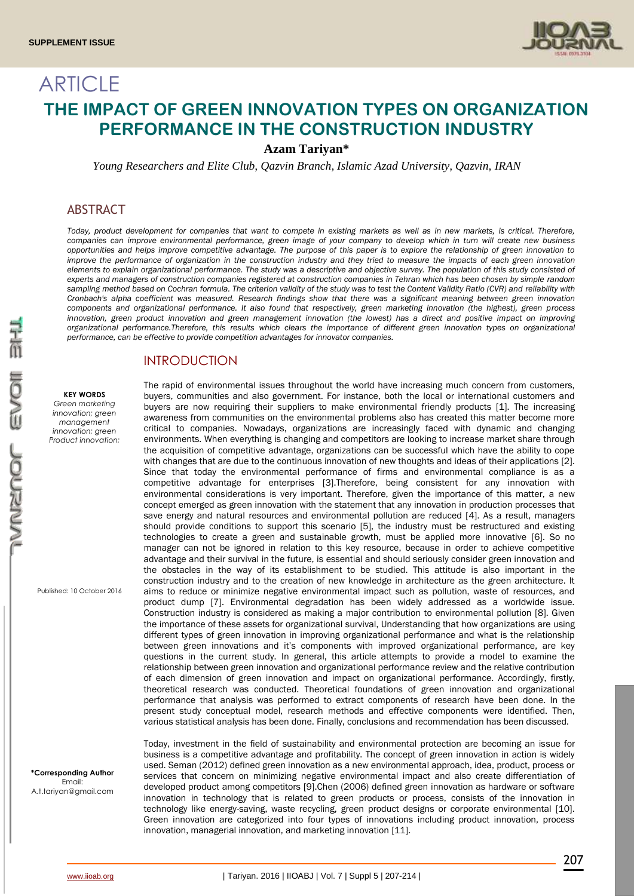

# ARTICLE **THE IMPACT OF GREEN INNOVATION TYPES ON ORGANIZATION PERFORMANCE IN THE CONSTRUCTION INDUSTRY**

**Azam Tariyan\***

*Young Researchers and Elite Club, Qazvin Branch, Islamic Azad University, Qazvin, IRAN*

### ABSTRACT

*Today, product development for companies that want to compete in existing markets as well as in new markets, is critical. Therefore, companies can improve environmental performance, green image of your company to develop which in turn will create new business opportunities and helps improve competitive advantage. The purpose of this paper is to explore the relationship of green innovation to improve the performance of organization in the construction industry and they tried to measure the impacts of each green innovation elements to explain organizational performance. The study was a descriptive and objective survey. The population of this study consisted of experts and managers of construction companies registered at construction companies in Tehran which has been chosen by simple random sampling method based on Cochran formula. The criterion validity of the study was to test the Content Validity Ratio (CVR) and reliability with Cronbach's alpha coefficient was measured. Research findings show that there was a significant meaning between green innovation components and organizational performance. It also found that respectively, green marketing innovation (the highest), green process*  innovation, green product innovation and green management innovation (the lowest) has a direct and positive impact on improving *organizational performance.Therefore, this results which clears the importance of different green innovation types on organizational performance, can be effective to provide competition advantages for innovator companies.*

### INTRODUCTION

#### **KEY WORDS**

*Green marketing innovation; green management innovation; green Product innovation;* 

Published: 10 October 2016

**\*Corresponding Author** Email: A.t.tariyan@gmail.com

The rapid of environmental issues throughout the world have increasing much concern from customers, buyers, communities and also government. For instance, both the local or international customers and buyers are now requiring their suppliers to make environmental friendly products [1]. The increasing awareness from communities on the environmental problems also has created this matter become more critical to companies. Nowadays, organizations are increasingly faced with dynamic and changing environments. When everything is changing and competitors are looking to increase market share through the acquisition of competitive advantage, organizations can be successful which have the ability to cope with changes that are due to the continuous innovation of new thoughts and ideas of their applications [2]. Since that today the environmental performance of firms and environmental compliance is as a competitive advantage for enterprises [3].Therefore, being consistent for any innovation with environmental considerations is very important. Therefore, given the importance of this matter, a new concept emerged as green innovation with the statement that any innovation in production processes that save energy and natural resources and environmental pollution are reduced [4]. As a result, managers should provide conditions to support this scenario [5], the industry must be restructured and existing technologies to create a green and sustainable growth, must be applied more innovative [6]. So no manager can not be ignored in relation to this key resource, because in order to achieve competitive advantage and their survival in the future, is essential and should seriously consider green innovation and the obstacles in the way of its establishment to be studied. This attitude is also important in the construction industry and to the creation of new knowledge in architecture as the green architecture. It aims to reduce or minimize negative environmental impact such as pollution, waste of resources, and product dump [7]. Environmental degradation has been widely addressed as a worldwide issue. Construction industry is considered as making a major contribution to environmental pollution [8]. Given the importance of these assets for organizational survival, Understanding that how organizations are using different types of green innovation in improving organizational performance and what is the relationship between green innovations and it's components with improved organizational performance, are key questions in the current study. In general, this article attempts to provide a model to examine the relationship between green innovation and organizational performance review and the relative contribution of each dimension of green innovation and impact on organizational performance. Accordingly, firstly, theoretical research was conducted. Theoretical foundations of green innovation and organizational performance that analysis was performed to extract components of research have been done. In the present study conceptual model, research methods and effective components were identified. Then, various statistical analysis has been done. Finally, conclusions and recommendation has been discussed.

Today, investment in the field of sustainability and environmental protection are becoming an issue for business is a competitive advantage and profitability. The concept of green innovation in action is widely used. Seman (2012) defined green innovation as a new environmental approach, idea, product, process or services that concern on minimizing negative environmental impact and also create differentiation of developed product among competitors [9].Chen (2006) defined green innovation as hardware or software innovation in technology that is related to green products or process, consists of the innovation in technology like energy-saving, waste recycling, green product designs or corporate environmental [10]. Green innovation are categorized into four types of innovations including product innovation, process innovation, managerial innovation, and marketing innovation [11].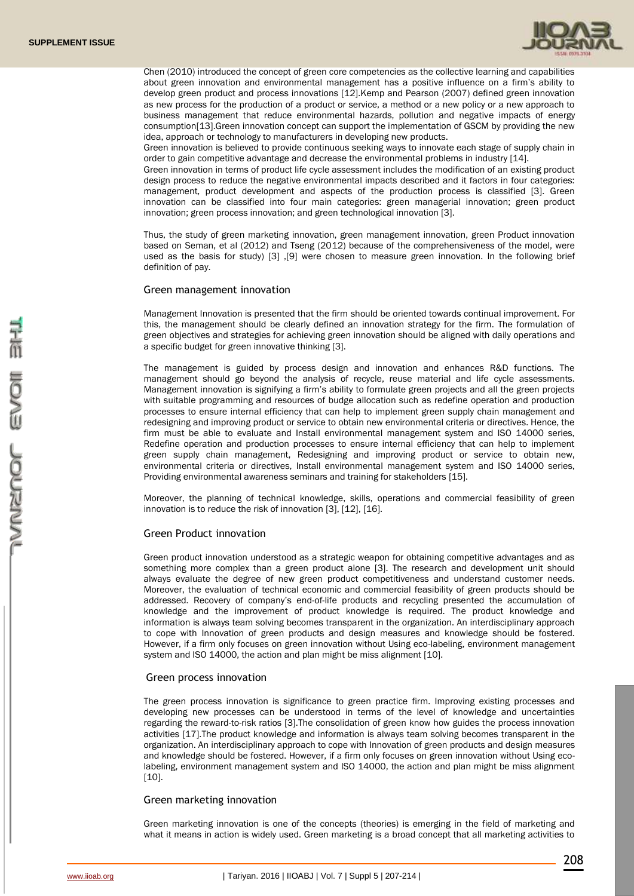

Chen (2010) introduced the concept of green core competencies as the collective learning and capabilities about green innovation and environmental management has a positive influence on a firm's ability to develop green product and process innovations [12].Kemp and Pearson (2007) defined green innovation as new process for the production of a product or service, a method or a new policy or a new approach to business management that reduce environmental hazards, pollution and negative impacts of energy consumption[13].Green innovation concept can support the implementation of GSCM by providing the new idea, approach or technology to manufacturers in developing new products.

Green innovation is believed to provide continuous seeking ways to innovate each stage of supply chain in order to gain competitive advantage and decrease the environmental problems in industry [14].

Green innovation in terms of product life cycle assessment includes the modification of an existing product design process to reduce the negative environmental impacts described and it factors in four categories: management, product development and aspects of the production process is classified [3]. Green innovation can be classified into four main categories: green managerial innovation; green product innovation; green process innovation; and green technological innovation [3].

Thus, the study of green marketing innovation, green management innovation, green Product innovation based on Seman, et al (2012) and Tseng (2012) because of the comprehensiveness of the model, were used as the basis for study) [3] ,[9] were chosen to measure green innovation. In the following brief definition of pay.

#### Green management innovation

Management Innovation is presented that the firm should be oriented towards continual improvement. For this, the management should be clearly defined an innovation strategy for the firm. The formulation of green objectives and strategies for achieving green innovation should be aligned with daily operations and a specific budget for green innovative thinking [3].

The management is guided by process design and innovation and enhances R&D functions. The management should go beyond the analysis of recycle, reuse material and life cycle assessments. Management innovation is signifying a firm's ability to formulate green projects and all the green projects with suitable programming and resources of budge allocation such as redefine operation and production processes to ensure internal efficiency that can help to implement green supply chain management and redesigning and improving product or service to obtain new environmental criteria or directives. Hence, the firm must be able to evaluate and Install environmental management system and ISO 14000 series, Redefine operation and production processes to ensure internal efficiency that can help to implement green supply chain management, Redesigning and improving product or service to obtain new, environmental criteria or directives, Install environmental management system and ISO 14000 series, Providing environmental awareness seminars and training for stakeholders [15].

Moreover, the planning of technical knowledge, skills, operations and commercial feasibility of green innovation is to reduce the risk of innovation [3], [12], [16].

#### Green Product innovation

Green product innovation understood as a strategic weapon for obtaining competitive advantages and as something more complex than a green product alone [3]. The research and development unit should always evaluate the degree of new green product competitiveness and understand customer needs. Moreover, the evaluation of technical economic and commercial feasibility of green products should be addressed. Recovery of company's end-of-life products and recycling presented the accumulation of knowledge and the improvement of product knowledge is required. The product knowledge and information is always team solving becomes transparent in the organization. An interdisciplinary approach to cope with Innovation of green products and design measures and knowledge should be fostered. However, if a firm only focuses on green innovation without Using eco-labeling, environment management system and ISO 14000, the action and plan might be miss alignment [10].

#### Green process innovation

The green process innovation is significance to green practice firm. Improving existing processes and developing new processes can be understood in terms of the level of knowledge and uncertainties regarding the reward-to-risk ratios [3].The consolidation of green know how guides the process innovation activities [17].The product knowledge and information is always team solving becomes transparent in the organization. An interdisciplinary approach to cope with Innovation of green products and design measures and knowledge should be fostered. However, if a firm only focuses on green innovation without Using ecolabeling, environment management system and ISO 14000, the action and plan might be miss alignment  $[10]$ .

### Green marketing innovation

Green marketing innovation is one of the concepts (theories) is emerging in the field of marketing and what it means in action is widely used. Green marketing is a broad concept that all marketing activities to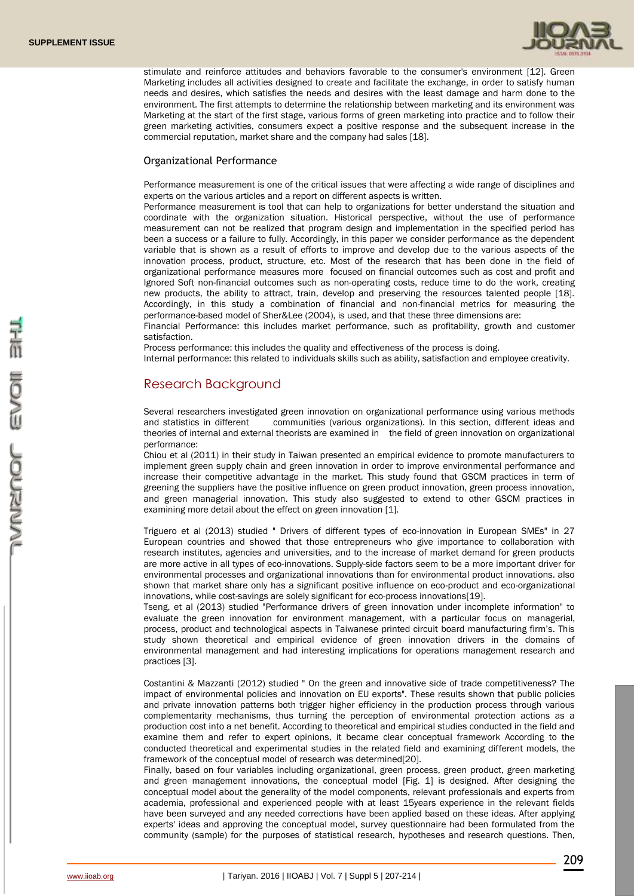

stimulate and reinforce attitudes and behaviors favorable to the consumer's environment [12]. Green Marketing includes all activities designed to create and facilitate the exchange, in order to satisfy human needs and desires, which satisfies the needs and desires with the least damage and harm done to the environment. The first attempts to determine the relationship between marketing and its environment was Marketing at the start of the first stage, various forms of green marketing into practice and to follow their green marketing activities, consumers expect a positive response and the subsequent increase in the commercial reputation, market share and the company had sales [18].

### Organizational Performance

Performance measurement is one of the critical issues that were affecting a wide range of disciplines and experts on the various articles and a report on different aspects is written.

Performance measurement is tool that can help to organizations for better understand the situation and coordinate with the organization situation. Historical perspective, without the use of performance measurement can not be realized that program design and implementation in the specified period has been a success or a failure to fully. Accordingly, in this paper we consider performance as the dependent variable that is shown as a result of efforts to improve and develop due to the various aspects of the innovation process, product, structure, etc. Most of the research that has been done in the field of organizational performance measures more focused on financial outcomes such as cost and profit and Ignored Soft non-financial outcomes such as non-operating costs, reduce time to do the work, creating new products, the ability to attract, train, develop and preserving the resources talented people [18]. Accordingly, in this study a combination of financial and non-financial metrics for measuring the performance-based model of Sher&Lee (2004), is used, and that these three dimensions are:

Financial Performance: this includes market performance, such as profitability, growth and customer satisfaction.

Process performance: this includes the quality and effectiveness of the process is doing.

Internal performance: this related to individuals skills such as ability, satisfaction and employee creativity.

### Research Background

Several researchers investigated green innovation on organizational performance using various methods and statistics in different communities (various organizations). In this section, different ideas and theories of internal and external theorists are examined in the field of green innovation on organizational performance:

Chiou et al (2011) in their study in Taiwan presented an empirical evidence to promote manufacturers to implement green supply chain and green innovation in order to improve environmental performance and increase their competitive advantage in the market. This study found that GSCM practices in term of greening the suppliers have the positive influence on green product innovation, green process innovation, and green managerial innovation. This study also suggested to extend to other GSCM practices in examining more detail about the effect on green innovation [1].

Triguero et al (2013) studied " Drivers of different types of eco-innovation in European SMEs" in 27 European countries and showed that those entrepreneurs who give importance to collaboration with research institutes, agencies and universities, and to the increase of market demand for green products are more active in all types of eco-innovations. Supply-side factors seem to be a more important driver for environmental processes and organizational innovations than for environmental product innovations. also shown that market share only has a significant positive influence on eco-product and eco-organizational innovations, while cost-savings are solely significant for eco-process innovations[19].

Tseng, et al (2013) studied "Performance drivers of green innovation under incomplete information" to evaluate the green innovation for environment management, with a particular focus on managerial, process, product and technological aspects in Taiwanese printed circuit board manufacturing firm's. This study shown theoretical and empirical evidence of green innovation drivers in the domains of environmental management and had interesting implications for operations management research and practices [3].

Costantini & Mazzanti (2012) studied " On the green and innovative side of trade competitiveness? The impact of environmental policies and innovation on EU exports". These results shown that public policies and private innovation patterns both trigger higher efficiency in the production process through various complementarity mechanisms, thus turning the perception of environmental protection actions as a production cost into a net benefit. According to theoretical and empirical studies conducted in the field and examine them and refer to expert opinions, it became clear conceptual framework According to the conducted theoretical and experimental studies in the related field and examining different models, the framework of the conceptual model of research was determined[20].

Finally, based on four variables including organizational, green process, green product, green marketing and green management innovations, the conceptual model [Fig. 1] is designed. After designing the conceptual model about the generality of the model components, relevant professionals and experts from academia, professional and experienced people with at least 15years experience in the relevant fields have been surveyed and any needed corrections have been applied based on these ideas. After applying experts' ideas and approving the conceptual model, survey questionnaire had been formulated from the community (sample) for the purposes of statistical research, hypotheses and research questions. Then,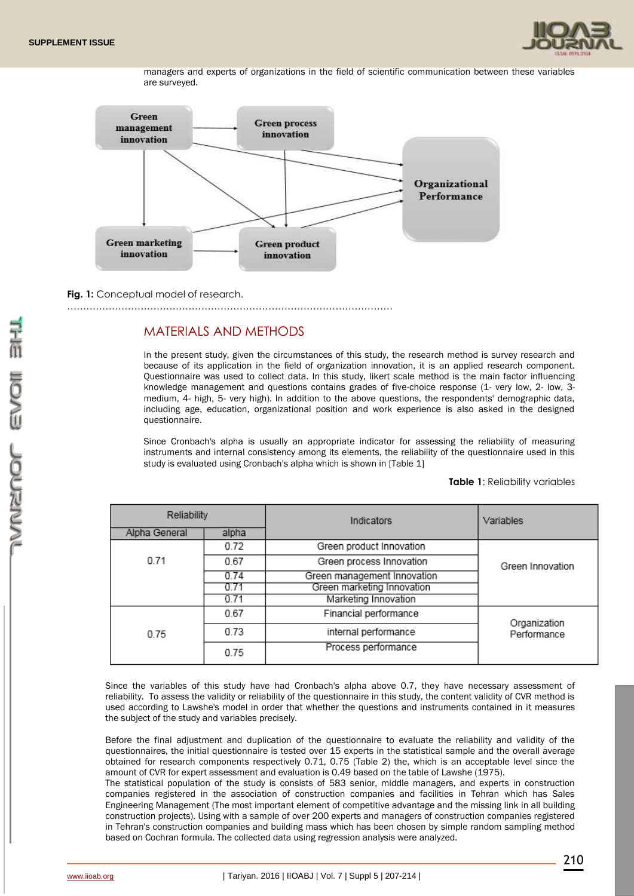

managers and experts of organizations in the field of scientific communication between these variables are surveyed.



**Fig. 1:** Conceptual model of research.

…………………………………………………………………………………………

### MATERIALS AND METHODS

In the present study, given the circumstances of this study, the research method is survey research and because of its application in the field of organization innovation, it is an applied research component. Questionnaire was used to collect data. In this study, likert scale method is the main factor influencing knowledge management and questions contains grades of five-choice response (1- very low, 2- low, 3 medium, 4- high, 5- very high). In addition to the above questions, the respondents' demographic data, including age, education, organizational position and work experience is also asked in the designed questionnaire.

Since Cronbach's alpha is usually an appropriate indicator for assessing the reliability of measuring instruments and internal consistency among its elements, the reliability of the questionnaire used in this study is evaluated using Cronbach's alpha which is shown in [Table 1]

### **Table 1**: Reliability variables

| Reliability   |       | Indicators                  | Variables        |  |
|---------------|-------|-----------------------------|------------------|--|
| Alpha General | alpha |                             |                  |  |
|               | 0.72  | Green product Innovation    |                  |  |
| 0.71          | 0.67  | Green process Innovation    | Green Innovation |  |
| 0.74          |       | Green management Innovation |                  |  |
|               | 07    | Green marketing Innovation  |                  |  |
|               | 0.71  | Marketing Innovation        |                  |  |
|               | 0.67  | Financial performance       | Organization     |  |
| 0.75          | 0.73  | internal performance        | Performance      |  |
|               | 0.75  | Process performance         |                  |  |

Since the variables of this study have had Cronbach's alpha above 0.7, they have necessary assessment of reliability. To assess the validity or reliability of the questionnaire in this study, the content validity of CVR method is used according to Lawshe's model in order that whether the questions and instruments contained in it measures the subject of the study and variables precisely.

Before the final adjustment and duplication of the questionnaire to evaluate the reliability and validity of the questionnaires, the initial questionnaire is tested over 15 experts in the statistical sample and the overall average obtained for research components respectively 0.71, 0.75 (Table 2) the, which is an acceptable level since the amount of CVR for expert assessment and evaluation is 0.49 based on the table of Lawshe (1975).

The statistical population of the study is consists of 583 senior, middle managers, and experts in construction companies registered in the association of construction companies and facilities in Tehran which has Sales Engineering Management (The most important element of competitive advantage and the missing link in all building construction projects). Using with a sample of over 200 experts and managers of construction companies registered in Tehran's construction companies and building mass which has been chosen by simple random sampling method based on Cochran formula. The collected data using regression analysis were analyzed.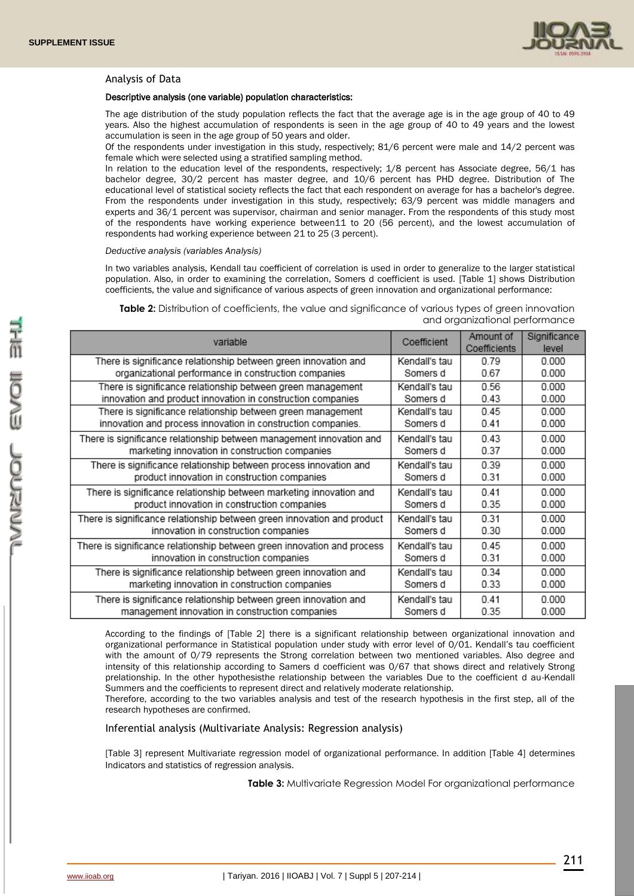

### Analysis of Data

#### Descriptive analysis (one variable) population characteristics:

The age distribution of the study population reflects the fact that the average age is in the age group of 40 to 49 years. Also the highest accumulation of respondents is seen in the age group of 40 to 49 years and the lowest accumulation is seen in the age group of 50 years and older.

Of the respondents under investigation in this study, respectively; 81/6 percent were male and 14/2 percent was female which were selected using a stratified sampling method.

In relation to the education level of the respondents, respectively; 1/8 percent has Associate degree, 56/1 has bachelor degree, 30/2 percent has master degree, and 10/6 percent has PHD degree. Distribution of The educational level of statistical society reflects the fact that each respondent on average for has a bachelor's degree. From the respondents under investigation in this study, respectively; 63/9 percent was middle managers and experts and 36/1 percent was supervisor, chairman and senior manager. From the respondents of this study most of the respondents have working experience between11 to 20 (56 percent), and the lowest accumulation of respondents had working experience between 21 to 25 (3 percent).

#### *Deductive analysis (variables Analysis)*

In two variables analysis, Kendall tau coefficient of correlation is used in order to generalize to the larger statistical population. Also, in order to examining the correlation, Somers d coefficient is used. [Table 1] shows Distribution coefficients, the value and significance of various aspects of green innovation and organizational performance:

| Table 2: Distribution of coefficients, the value and significance of various types of green innovation |                                |
|--------------------------------------------------------------------------------------------------------|--------------------------------|
|                                                                                                        | and organizational performance |

| variable                                                                | Coefficient   | Amount of<br>Coefficients | Significance<br>level |
|-------------------------------------------------------------------------|---------------|---------------------------|-----------------------|
| There is significance relationship between green innovation and         | Kendall's tau | 0.79                      | 0.000                 |
| organizational performance in construction companies                    | Somers d      | 0.67                      | 0.000                 |
| There is significance relationship between green management             | Kendall's tau | 0.56                      | 0.000                 |
| innovation and product innovation in construction companies             | Somers d      | 0.43                      | 0.000                 |
| There is significance relationship between green management             | Kendall's tau | 0.45                      | 0.000                 |
| innovation and process innovation in construction companies.            | Somers d      | 0.41                      | 0.000                 |
| There is significance relationship between management innovation and    | Kendall's tau | 0.43                      | 0.000                 |
| marketing innovation in construction companies                          | Somers d      | 0.37                      | 0.000                 |
| There is significance relationship between process innovation and       | Kendall's tau | 0.39                      | 0.000                 |
| product innovation in construction companies                            | Somers d      | 0.31                      | 0.000                 |
| There is significance relationship between marketing innovation and     | Kendall's tau | 0.41                      | 0.000                 |
| product innovation in construction companies                            | Somers d      | 0.35                      | 0.000                 |
| There is significance relationship between green innovation and product | Kendall's tau | 0.31                      | 0.000                 |
| innovation in construction companies                                    | Somers d      | 0.30                      | 0.000                 |
| There is significance relationship between green innovation and process | Kendall's tau | 0.45                      | 0.000                 |
| innovation in construction companies                                    | Somers d      | 0.31                      | 0.000                 |
| There is significance relationship between green innovation and         | Kendall's tau | 0.34                      | 0.000                 |
| marketing innovation in construction companies                          | Somers d      | 0.33                      | 0.000                 |
| There is significance relationship between green innovation and         | Kendall's tau | 0.41                      | 0.000                 |
| management innovation in construction companies                         | Somers d      | 0.35                      | 0.000                 |

According to the findings of [Table 2] there is a significant relationship between organizational innovation and organizational performance in Statistical population under study with error level of 0/01. Kendall's tau coefficient with the amount of 0/79 represents the Strong correlation between two mentioned variables. Also degree and intensity of this relationship according to Samers d coefficient was 0/67 that shows direct and relatively Strong prelationship. In the other hypothesisthe relationship between the variables Due to the coefficient d au-Kendall Summers and the coefficients to represent direct and relatively moderate relationship.

Therefore, according to the two variables analysis and test of the research hypothesis in the first step, all of the research hypotheses are confirmed.

### Inferential analysis (Multivariate Analysis: Regression analysis)

[Table 3] represent Multivariate regression model of organizational performance. In addition [Table 4] determines Indicators and statistics of regression analysis.

**Table 3:** Multivariate Regression Model For organizational performance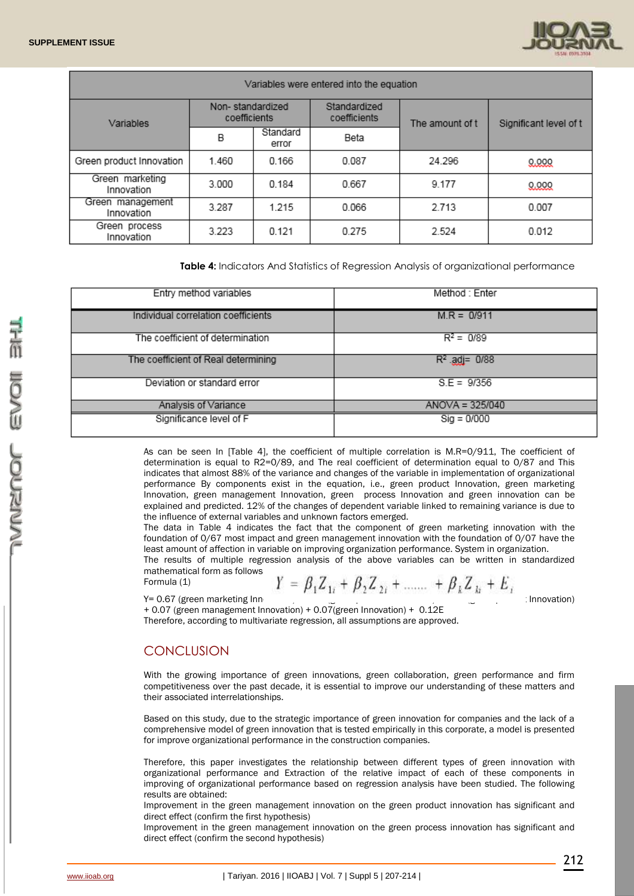

| Variables were entered into the equation |                                  |                   |                              |                 |                        |
|------------------------------------------|----------------------------------|-------------------|------------------------------|-----------------|------------------------|
| Variables                                | Non-standardized<br>coefficients |                   | Standardized<br>coefficients | The amount of t | Significant level of t |
|                                          | B                                | Standard<br>error | Beta                         |                 |                        |
| Green product Innovation                 | 1.460                            | 0.166             | 0.087                        | 24.296          | 0.000                  |
| Green marketing<br>Innovation            | 3.000                            | 0.184             | 0.667                        | 9.177           | 0.000                  |
| Green management<br>Innovation           | 3.287                            | 1.215             | 0.066                        | 2.713           | 0.007                  |
| Green process<br>Innovation              | 3.223                            | 0.121             | 0.275                        | 2.524           | 0.012                  |

**Table 4:** Indicators And Statistics of Regression Analysis of organizational performance

| Entry method variables              | Method : Enter    |
|-------------------------------------|-------------------|
| Individual correlation coefficients | $M.R = 0/911$     |
| The coefficient of determination    | $R^2 = 0/89$      |
| The coefficient of Real determining | $R^2$ adj= 0/88   |
| Deviation or standard error         | $S.E = 9/356$     |
| Analysis of Variance                | $ANOVA = 325/040$ |
| Significance level of F             | $Sig = 0/000$     |

As can be seen In [Table 4], the coefficient of multiple correlation is M.R=0/911, The coefficient of determination is equal to R2=0/89, and The real coefficient of determination equal to 0/87 and This indicates that almost 88% of the variance and changes of the variable in implementation of organizational performance By components exist in the equation, i.e., green product Innovation, green marketing Innovation, green management Innovation, green process Innovation and green innovation can be explained and predicted. 12% of the changes of dependent variable linked to remaining variance is due to the influence of external variables and unknown factors emerged.

The data in Table 4 indicates the fact that the component of green marketing innovation with the foundation of 0/67 most impact and green management innovation with the foundation of 0/07 have the least amount of affection in variable on improving organization performance. System in organization.

The results of multiple regression analysis of the above variables can be written in standardized mathematical form as follows: Formula (1)

$$
Y = \beta_1 Z_{1i} + \beta_2 Z_{2i} + \dots + \beta_k Z_{1k} + E_i
$$

Y= 0.67 (green marketing Inn example of process innovation) + 0.67 (green marketing Inn

+ 0.07 (green management Innovation) + 0.07(green Innovation) + 0.12E Therefore, according to multivariate regression, all assumptions are approved.

### **CONCLUSION**

With the growing importance of green innovations, green collaboration, green performance and firm competitiveness over the past decade, it is essential to improve our understanding of these matters and their associated interrelationships.

Based on this study, due to the strategic importance of green innovation for companies and the lack of a comprehensive model of green innovation that is tested empirically in this corporate, a model is presented for improve organizational performance in the construction companies.

Therefore, this paper investigates the relationship between different types of green innovation with organizational performance and Extraction of the relative impact of each of these components in improving of organizational performance based on regression analysis have been studied. The following results are obtained:

Improvement in the green management innovation on the green product innovation has significant and direct effect (confirm the first hypothesis)

Improvement in the green management innovation on the green process innovation has significant and direct effect (confirm the second hypothesis)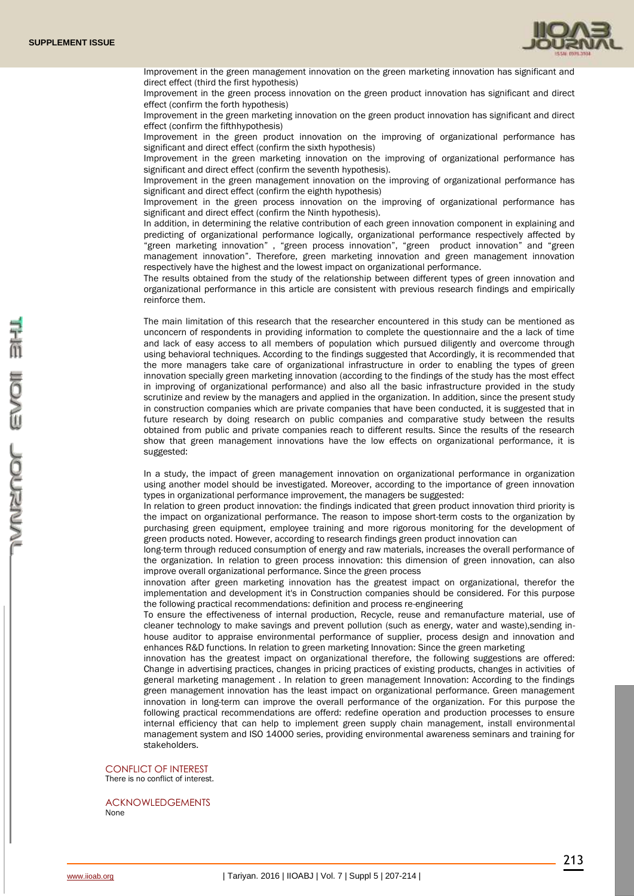

Improvement in the green management innovation on the green marketing innovation has significant and direct effect (third the first hypothesis)

Improvement in the green process innovation on the green product innovation has significant and direct effect (confirm the forth hypothesis)

Improvement in the green marketing innovation on the green product innovation has significant and direct effect (confirm the fifthhypothesis)

Improvement in the green product innovation on the improving of organizational performance has significant and direct effect (confirm the sixth hypothesis)

Improvement in the green marketing innovation on the improving of organizational performance has significant and direct effect (confirm the seventh hypothesis).

Improvement in the green management innovation on the improving of organizational performance has significant and direct effect (confirm the eighth hypothesis)

Improvement in the green process innovation on the improving of organizational performance has significant and direct effect (confirm the Ninth hypothesis).

In addition, in determining the relative contribution of each green innovation component in explaining and predicting of organizational performance logically, organizational performance respectively affected by "green marketing innovation" , "green process innovation", "green product innovation" and "green management innovation". Therefore, green marketing innovation and green management innovation respectively have the highest and the lowest impact on organizational performance.

The results obtained from the study of the relationship between different types of green innovation and organizational performance in this article are consistent with previous research findings and empirically reinforce them.

The main limitation of this research that the researcher encountered in this study can be mentioned as unconcern of respondents in providing information to complete the questionnaire and the a lack of time and lack of easy access to all members of population which pursued diligently and overcome through using behavioral techniques. According to the findings suggested that Accordingly, it is recommended that the more managers take care of organizational infrastructure in order to enabling the types of green innovation specially green marketing innovation (according to the findings of the study has the most effect in improving of organizational performance) and also all the basic infrastructure provided in the study scrutinize and review by the managers and applied in the organization. In addition, since the present study in construction companies which are private companies that have been conducted, it is suggested that in future research by doing research on public companies and comparative study between the results obtained from public and private companies reach to different results. Since the results of the research show that green management innovations have the low effects on organizational performance, it is suggested:

In a study, the impact of green management innovation on organizational performance in organization using another model should be investigated. Moreover, according to the importance of green innovation types in organizational performance improvement, the managers be suggested:

In relation to green product innovation: the findings indicated that green product innovation third priority is the impact on organizational performance. The reason to impose short-term costs to the organization by purchasing green equipment, employee training and more rigorous monitoring for the development of green products noted. However, according to research findings green product innovation can

long-term through reduced consumption of energy and raw materials, increases the overall performance of the organization. In relation to green process innovation: this dimension of green innovation, can also improve overall organizational performance. Since the green process

innovation after green marketing innovation has the greatest impact on organizational, therefor the implementation and development it's in Construction companies should be considered. For this purpose the following practical recommendations: definition and process re-engineering

To ensure the effectiveness of internal production, Recycle, reuse and remanufacture material, use of cleaner technology to make savings and prevent pollution (such as energy, water and waste),sending inhouse auditor to appraise environmental performance of supplier, process design and innovation and enhances R&D functions. In relation to green marketing Innovation: Since the green marketing

innovation has the greatest impact on organizational therefore, the following suggestions are offered: Change in advertising practices, changes in pricing practices of existing products, changes in activities of general marketing management . In relation to green management Innovation: According to the findings green management innovation has the least impact on organizational performance. Green management innovation in long-term can improve the overall performance of the organization. For this purpose the following practical recommendations are offerd: redefine operation and production processes to ensure internal efficiency that can help to implement green supply chain management, install environmental management system and ISO 14000 series, providing environmental awareness seminars and training for stakeholders.

## CONFLICT OF INTEREST

There is no conflict of interest.

ACKNOWLEDGEMENTS None